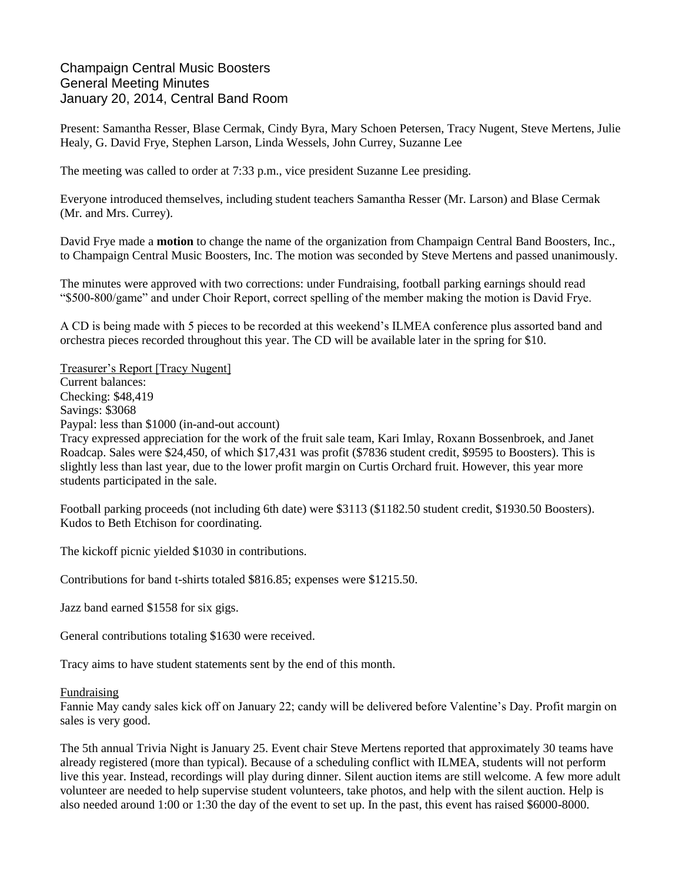## Champaign Central Music Boosters General Meeting Minutes January 20, 2014, Central Band Room

Present: Samantha Resser, Blase Cermak, Cindy Byra, Mary Schoen Petersen, Tracy Nugent, Steve Mertens, Julie Healy, G. David Frye, Stephen Larson, Linda Wessels, John Currey, Suzanne Lee

The meeting was called to order at 7:33 p.m., vice president Suzanne Lee presiding.

Everyone introduced themselves, including student teachers Samantha Resser (Mr. Larson) and Blase Cermak (Mr. and Mrs. Currey).

David Frye made a **motion** to change the name of the organization from Champaign Central Band Boosters, Inc., to Champaign Central Music Boosters, Inc. The motion was seconded by Steve Mertens and passed unanimously.

The minutes were approved with two corrections: under Fundraising, football parking earnings should read "\$500-800/game" and under Choir Report, correct spelling of the member making the motion is David Frye.

A CD is being made with 5 pieces to be recorded at this weekend's ILMEA conference plus assorted band and orchestra pieces recorded throughout this year. The CD will be available later in the spring for \$10.

Treasurer's Report [Tracy Nugent] Current balances: Checking: \$48,419 Savings: \$3068 Paypal: less than \$1000 (in-and-out account)

Tracy expressed appreciation for the work of the fruit sale team, Kari Imlay, Roxann Bossenbroek, and Janet Roadcap. Sales were \$24,450, of which \$17,431 was profit (\$7836 student credit, \$9595 to Boosters). This is slightly less than last year, due to the lower profit margin on Curtis Orchard fruit. However, this year more students participated in the sale.

Football parking proceeds (not including 6th date) were \$3113 (\$1182.50 student credit, \$1930.50 Boosters). Kudos to Beth Etchison for coordinating.

The kickoff picnic yielded \$1030 in contributions.

Contributions for band t-shirts totaled \$816.85; expenses were \$1215.50.

Jazz band earned \$1558 for six gigs.

General contributions totaling \$1630 were received.

Tracy aims to have student statements sent by the end of this month.

## Fundraising

Fannie May candy sales kick off on January 22; candy will be delivered before Valentine's Day. Profit margin on sales is very good.

The 5th annual Trivia Night is January 25. Event chair Steve Mertens reported that approximately 30 teams have already registered (more than typical). Because of a scheduling conflict with ILMEA, students will not perform live this year. Instead, recordings will play during dinner. Silent auction items are still welcome. A few more adult volunteer are needed to help supervise student volunteers, take photos, and help with the silent auction. Help is also needed around 1:00 or 1:30 the day of the event to set up. In the past, this event has raised \$6000-8000.